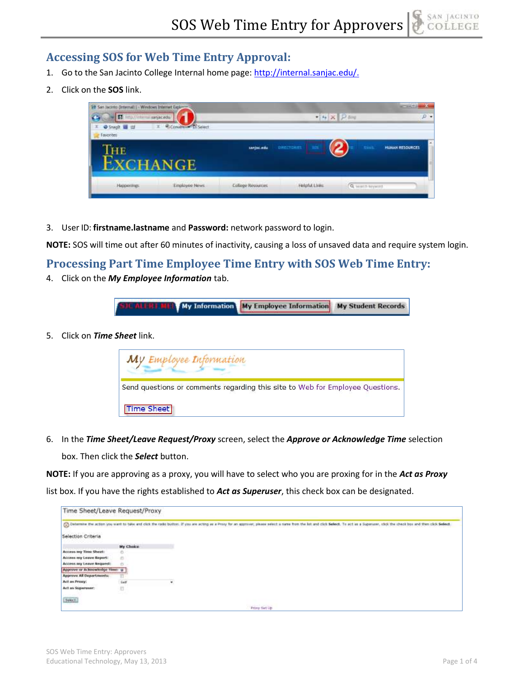## **Accessing SOS for Web Time Entry Approval:**

- 1. Go to the San Jacinto College Internal home page: [http://internal.sanjac.edu/.](http://internal.sanjac.edu/)
- 2. Click on the **SOS** link.



3. User ID: **firstname.lastname** and **Password:** network password to login.

**NOTE:** SOS will time out after 60 minutes of inactivity, causing a loss of unsaved data and require system login.

## **Processing Part Time Employee Time Entry with SOS Web Time Entry:**

4. Click on the *My Employee Information* tab.

**My Employee Information My Student Records My Information** ALCH F.

5. Click on *Time Sheet* link.

| My Employee Information                                                       |
|-------------------------------------------------------------------------------|
| Send questions or comments regarding this site to Web for Employee Questions. |
| Time Sheet                                                                    |

6. In the *Time Sheet/Leave Request/Proxy* screen, select the *Approve or Acknowledge Time* selection

box. Then click the *Select* button.

**NOTE:** If you are approving as a proxy, you will have to select who you are proxing for in the *Act as Proxy*

list box. If you have the rights established to *Act as Superuser*, this check box can be designated.

| Time Sheet/Leave Request/Proxy |           |                                                                                                                                                                                                                                |
|--------------------------------|-----------|--------------------------------------------------------------------------------------------------------------------------------------------------------------------------------------------------------------------------------|
|                                |           | Columnia the action you want to take and click the radio button. If you are acting as a Proxy for an approver, please select is name from the list and click Select. To act as a Superuser, click the check box ond then click |
| Selection Criteria             |           |                                                                                                                                                                                                                                |
|                                | My Choice |                                                                                                                                                                                                                                |
| Access my Time Sheet:          |           |                                                                                                                                                                                                                                |
| Access my Leave Report:        | Ø.        |                                                                                                                                                                                                                                |
| Access my Leave Request:       |           |                                                                                                                                                                                                                                |
| Approve or Acknowledge Time: a |           |                                                                                                                                                                                                                                |
| Approve All Departments:       |           |                                                                                                                                                                                                                                |
| Act as Proxy:                  | Self      | $\sim$<br>×                                                                                                                                                                                                                    |
| Act as Superimer:              | 司         |                                                                                                                                                                                                                                |
| sekct.                         |           |                                                                                                                                                                                                                                |
|                                |           | Prony Set Up                                                                                                                                                                                                                   |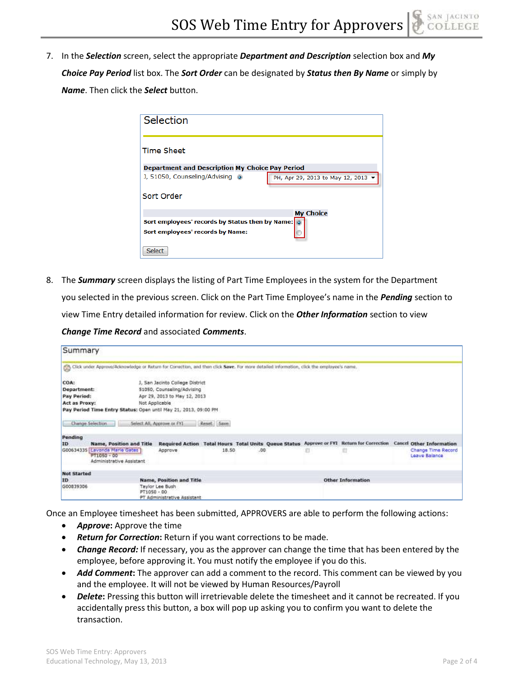7. In the *Selection* screen, select the appropriate *Department and Description* selection box and *My Choice Pay Period* list box. The *Sort Order* can be designated by *Status then By Name* or simply by *Name*. Then click the *Select* button.

| Selection                                              |                                    |
|--------------------------------------------------------|------------------------------------|
| <b>Time Sheet</b>                                      |                                    |
| <b>Department and Description My Choice Pay Period</b> |                                    |
| J, 51050, Counseling/Advising @                        | PH, Apr 29, 2013 to May 12, 2013 ▼ |
| Sort Order                                             |                                    |
|                                                        | <b>My Choice</b>                   |
| Sort employees' records by Status then by Name: 0      |                                    |
| Sort employees' records by Name:                       |                                    |
| <b>Select</b>                                          |                                    |

8. The *Summary* screen displays the listing of Part Time Employees in the system for the Department you selected in the previous screen. Click on the Part Time Employee's name in the *Pending* section to view Time Entry detailed information for review. Click on the *Other Information* section to view *Change Time Record* and associated *Comments*.

| Summary                                                                 |                                                                                                                                          |                                                                                               |            |     |  |                          |                                                                                                                    |
|-------------------------------------------------------------------------|------------------------------------------------------------------------------------------------------------------------------------------|-----------------------------------------------------------------------------------------------|------------|-----|--|--------------------------|--------------------------------------------------------------------------------------------------------------------|
|                                                                         | Click under Approve/Acknowledge or Return for Correction, and then click Save. For more detailed information, click the employee's name. |                                                                                               |            |     |  |                          |                                                                                                                    |
| COA:<br>Department:<br>Pay Period:<br>Act as Proxy:<br>Change Selection | Not Applicable<br>Pay Period Time Entry Status: Open until May 21, 2013, 09:00 PM<br>Select All, Approve or FYI                          | J. San Jacinto College District<br>51050, Counseling/Advising<br>Apr 29, 2013 to May 12, 2013 | Reset Save |     |  |                          |                                                                                                                    |
| Pending                                                                 |                                                                                                                                          |                                                                                               |            |     |  |                          |                                                                                                                    |
| ID                                                                      | Name, Position and Title                                                                                                                 |                                                                                               |            |     |  |                          | Required Action Total Hours Total Units Queue Status Approve or FYI Return for Correction Cancel Other Information |
| G00634335                                                               | Lavonda Marie Gates<br>$PT1050 - 00$<br>Administrative Assistant                                                                         | Approve                                                                                       | 18.50      | .00 |  |                          | Change Time Record<br>Leave Balance                                                                                |
| <b>Not Started</b>                                                      |                                                                                                                                          |                                                                                               |            |     |  |                          |                                                                                                                    |
| ID                                                                      |                                                                                                                                          | Name, Position and Title                                                                      |            |     |  | <b>Other Information</b> |                                                                                                                    |
| G00839306                                                               | PT1050 - 00                                                                                                                              | Taylor Lee Bush<br>PT Administrative Assistant                                                |            |     |  |                          |                                                                                                                    |

Once an Employee timesheet has been submitted, APPROVERS are able to perform the following actions:

- **•** *Approve***:** Approve the time
- *Return for Correction***:** Return if you want corrections to be made.
- *Change Record:* If necessary, you as the approver can change the time that has been entered by the employee, before approving it. You must notify the employee if you do this.
- *Add Comment***:** The approver can add a comment to the record. This comment can be viewed by you and the employee. It will not be viewed by Human Resources/Payroll
- *Delete***:** Pressing this button will irretrievable delete the timesheet and it cannot be recreated. If you accidentally press this button, a box will pop up asking you to confirm you want to delete the transaction.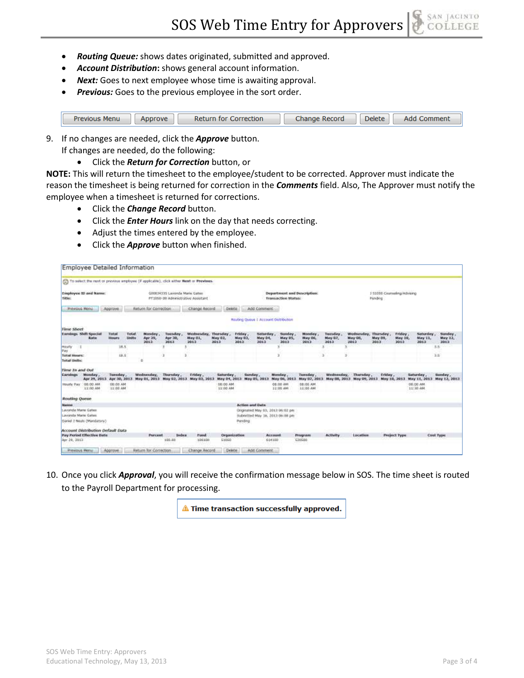- *Routing Queue:* shows dates originated, submitted and approved.
- *Account Distribution***:** shows general account information.
- *Next:* Goes to next employee whose time is awaiting approval.
- *Previous:* Goes to the previous employee in the sort order.

| Previous Menu | Approve | Return for Correction | Change Record | <b>Delete</b> | <b>Add Comment</b> |
|---------------|---------|-----------------------|---------------|---------------|--------------------|

- 9. If no changes are needed, click the *Approve* button. If changes are needed, do the following:
	- Click the *Return for Correction* button, or

**NOTE:** This will return the timesheet to the employee/student to be corrected. Approver must indicate the reason the timesheet is being returned for correction in the *Comments* field. Also, The Approver must notify the employee when a timesheet is returned for corrections.

- Click the *Change Record* button.
- Click the *Enter Hours* link on the day that needs correcting.
- Adjust the times entered by the employee.
- Click the *Approve* button when finished.

|                                                                                                                   | Employee Detailed Information            |                          |                       |                            |                                                                                                    |                                                                                         |                           |                                  |                                               |                                  |                             |                                   |                                          |                        |                                   |                              |                                  |
|-------------------------------------------------------------------------------------------------------------------|------------------------------------------|--------------------------|-----------------------|----------------------------|----------------------------------------------------------------------------------------------------|-----------------------------------------------------------------------------------------|---------------------------|----------------------------------|-----------------------------------------------|----------------------------------|-----------------------------|-----------------------------------|------------------------------------------|------------------------|-----------------------------------|------------------------------|----------------------------------|
|                                                                                                                   |                                          |                          |                       |                            |                                                                                                    | To select the rent or previous employee (if applicable), click wither Next or Previous. |                           |                                  |                                               |                                  |                             |                                   |                                          |                        |                                   |                              |                                  |
| Employee to and Name:<br>G56634335 Layerda Maria Gallee<br><b>Tiltfair:</b><br>PT3050-00 Administrative Assistant |                                          |                          |                       |                            | Department and Description:<br>J 11056 Coomsting/Advising<br><b>Transaction Status:</b><br>Ponding |                                                                                         |                           |                                  |                                               |                                  |                             |                                   |                                          |                        |                                   |                              |                                  |
| <b>Prevides Meridi</b>                                                                                            |                                          | Appliave                 |                       | Return for Comedian        |                                                                                                    | Change Roomd                                                                            | Delota:                   |                                  | Add Convivers                                 |                                  |                             |                                   |                                          |                        |                                   |                              |                                  |
|                                                                                                                   |                                          |                          |                       |                            |                                                                                                    |                                                                                         |                           |                                  | <b>Milating Quirus 1 Account Distribution</b> |                                  |                             |                                   |                                          |                        |                                   |                              |                                  |
| <b>Time Sheet</b>                                                                                                 |                                          |                          |                       |                            |                                                                                                    |                                                                                         |                           |                                  |                                               |                                  |                             |                                   |                                          |                        |                                   |                              |                                  |
| <b>Excellence Shift Special</b>                                                                                   | <b>Rate</b>                              | Total<br>Hours           | Total<br><b>Units</b> | Monday.<br>Apr 39,<br>2012 | Tuesday,<br>Apr 30,<br>3013                                                                        | Wednesday, Thursday,<br>May 01.<br>2012                                                 | <b>May 02.</b><br>2012    | <b>Priday</b><br>Nay 03,<br>2012 | Solarday<br>Mary 04.<br>3013                  | <b>Sunday</b><br>May 05.<br>3013 | Morsday<br>Mary GO.<br>2012 | <b>Tuesday</b><br>May GZ.<br>2013 | Wednesday, Thursday,<br>Mary Ob.<br>3012 | <b>May 29.</b><br>3013 | Friday,<br><b>May 10.</b><br>3013 | Selarday.<br>May 11.<br>2012 | <b>Sunday</b><br>May 12.<br>3012 |
| Houtly<br>Pay                                                                                                     |                                          | 18.5                     |                       |                            |                                                                                                    |                                                                                         |                           |                                  |                                               |                                  |                             |                                   |                                          |                        |                                   |                              | $\Sigma$ $B$                     |
| <b>Total Hours:</b>                                                                                               |                                          | 18.5                     |                       |                            |                                                                                                    |                                                                                         |                           |                                  |                                               |                                  |                             |                                   |                                          |                        |                                   |                              | 25                               |
| Total Units:                                                                                                      |                                          |                          |                       |                            |                                                                                                    |                                                                                         |                           |                                  |                                               |                                  |                             |                                   |                                          |                        |                                   |                              |                                  |
| Tane In and Out                                                                                                   |                                          |                          |                       |                            |                                                                                                    |                                                                                         |                           |                                  |                                               |                                  |                             |                                   |                                          |                        |                                   |                              |                                  |
| Eachings                                                                                                          | Monday<br>Apr 29, 2013                   | Tuesday<br>Арг 30, 3013. |                       | Wednesday.                 | Thursday,                                                                                          | Friday,<br>May 01, 2013 May 02, 2013 May 03, 2013                                       | Saturday.<br>May 04, 2013 | Sunday.                          | <b>May 05, 2013</b>                           | <b>Monthey</b><br>May 86, 2013   | Tuesday.<br>May 07, 2013    | Westmesday,                       | Thursday<br>May 08, 2013 May 09, 2013    | Friday.                | May 10, 2013                      | Suturday<br>May 11, 2013     | Sized ey.<br><b>May 12, 2013</b> |
| Houtly Pay, 198:00 AM                                                                                             | 11:00 AM                                 | 00:00.AM<br>11:00 AM     |                       |                            |                                                                                                    |                                                                                         | 58:00 AM<br>T1:00 AM      |                                  |                                               | 08:00 AM<br>33:00 AM             | DE:03 AM<br>11:00 AM        |                                   |                                          |                        |                                   | 08:00 AM<br>31:30 AM         |                                  |
| Routing Queue                                                                                                     |                                          |                          |                       |                            |                                                                                                    |                                                                                         |                           |                                  |                                               |                                  |                             |                                   |                                          |                        |                                   |                              |                                  |
| <b>Marron</b>                                                                                                     |                                          |                          |                       |                            |                                                                                                    |                                                                                         |                           | <b>Action and Data</b>           |                                               |                                  |                             |                                   |                                          |                        |                                   |                              |                                  |
| Lavonde Marte Gates                                                                                               |                                          |                          |                       |                            |                                                                                                    |                                                                                         |                           |                                  | Originated May 83, 2013 06:62 pay             |                                  |                             |                                   |                                          |                        |                                   |                              |                                  |
| Lievanda Marie Gates                                                                                              |                                          |                          |                       |                            |                                                                                                    |                                                                                         |                           |                                  | Submitted May 16, 2013 06:88 pm               |                                  |                             |                                   |                                          |                        |                                   |                              |                                  |
|                                                                                                                   | Daniel 2 Nouls (Mandatory).              |                          |                       |                            |                                                                                                    |                                                                                         |                           | Panding                          |                                               |                                  |                             |                                   |                                          |                        |                                   |                              |                                  |
|                                                                                                                   | <b>Account Distribution Default Data</b> |                          |                       |                            |                                                                                                    |                                                                                         |                           |                                  |                                               |                                  |                             |                                   |                                          |                        |                                   |                              |                                  |
|                                                                                                                   | <b>Pay Period Effective Data</b>         |                          |                       | Percent                    | Deckew                                                                                             | <b>Tunel</b>                                                                            |                           | Organization                     | Acrosom                                       |                                  | Program                     | Activity                          | <b>Location</b>                          |                        | <b>Project Type</b>               |                              | <b>Cool Type:</b>                |
| Apr 29, 2012                                                                                                      |                                          |                          |                       |                            | 103.88                                                                                             | 106100                                                                                  | 51050                     |                                  | 614100                                        |                                  | \$20500                     |                                   |                                          |                        |                                   |                              |                                  |
|                                                                                                                   |                                          |                          |                       |                            |                                                                                                    |                                                                                         |                           |                                  |                                               |                                  |                             |                                   |                                          |                        |                                   |                              |                                  |
| <b>Previous Menu</b>                                                                                              |                                          | Approve                  |                       | Return for Correction      |                                                                                                    | Change Record                                                                           | Dealerse                  |                                  | Add Comment                                   |                                  |                             |                                   |                                          |                        |                                   |                              |                                  |

10. Once you click *Approval*, you will receive the confirmation message below in SOS. The time sheet is routed to the Payroll Department for processing.

Time transaction successfully approved.